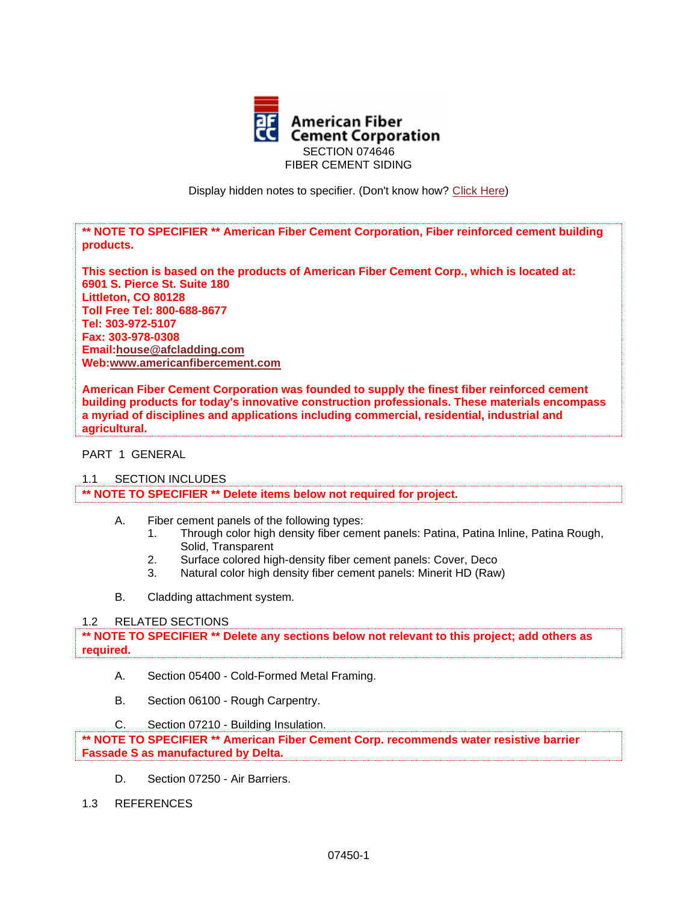

Display hidden notes to specifier. (Don't know how? [Click Here\)](http://www.arcat.com/sd/display_hidden_notes.shtml)

**\*\* NOTE TO SPECIFIER \*\* American Fiber Cement Corporation, Fiber reinforced cement building products.**

**This section is based on the products of American Fiber Cement Corp., which is located at: 6901 S. Pierce St. Suite 180 Littleton, CO 80128 Toll Free Tel: 800-688-8677 Tel: 303-972-5107 Fax: 303-978-0308 Email:house@afcladding.com Web[:www.americanfibercement.com](http://www.americanfibercement.com/)**

**American Fiber Cement Corporation was founded to supply the finest fiber reinforced cement building products for today's innovative construction professionals. These materials encompass a myriad of disciplines and applications including commercial, residential, industrial and agricultural.**

### PART 1 GENERAL

1.1 SECTION INCLUDES

**\*\* NOTE TO SPECIFIER \*\* Delete items below not required for project.**

- A. Fiber cement panels of the following types:
	- 1. Through color high density fiber cement panels: Patina, Patina Inline, Patina Rough, Solid, Transparent
	- 2. Surface colored high-density fiber cement panels: Cover, Deco
	- 3. Natural color high density fiber cement panels: Minerit HD (Raw)
- B. Cladding attachment system.

### 1.2 RELATED SECTIONS

**\*\* NOTE TO SPECIFIER \*\* Delete any sections below not relevant to this project; add others as required.**

- A. Section 05400 Cold-Formed Metal Framing.
- B. Section 06100 Rough Carpentry.
- C. Section 07210 Building Insulation.

**\*\* NOTE TO SPECIFIER \*\* American Fiber Cement Corp. recommends water resistive barrier Fassade S as manufactured by Delta.**

- D. Section 07250 Air Barriers.
- 1.3 REFERENCES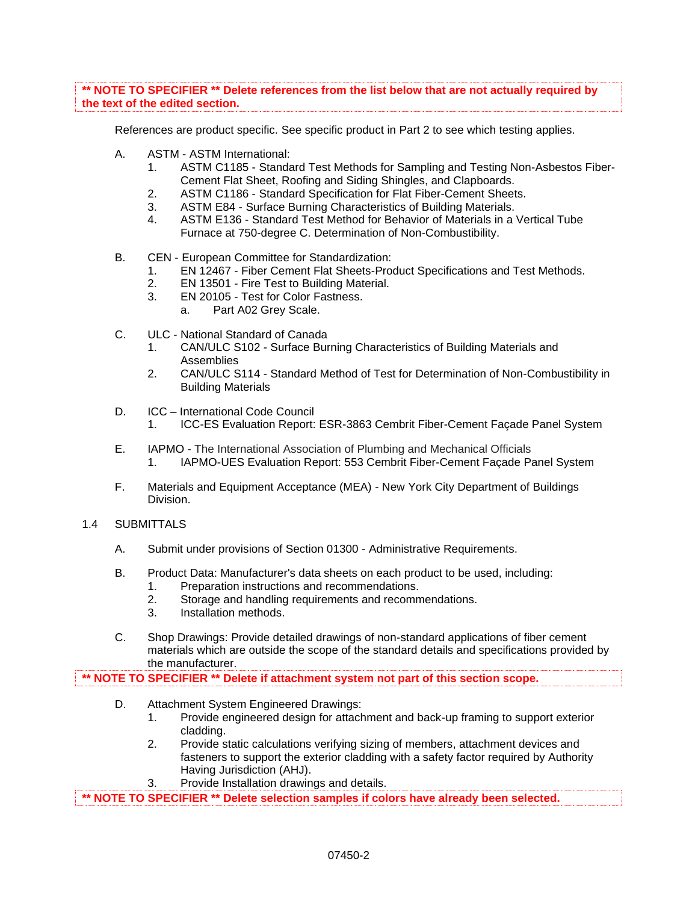**\*\* NOTE TO SPECIFIER \*\* Delete references from the list below that are not actually required by the text of the edited section.**

References are product specific. See specific product in Part 2 to see which testing applies.

- A. ASTM ASTM International:
	- 1. ASTM C1185 Standard Test Methods for Sampling and Testing Non-Asbestos Fiber-Cement Flat Sheet, Roofing and Siding Shingles, and Clapboards.
	- 2. ASTM C1186 Standard Specification for Flat Fiber-Cement Sheets.
	- 3. ASTM E84 Surface Burning Characteristics of Building Materials.
	- 4. ASTM E136 Standard Test Method for Behavior of Materials in a Vertical Tube Furnace at 750-degree C. Determination of Non-Combustibility.
- B. CEN European Committee for Standardization:
	- 1. EN 12467 Fiber Cement Flat Sheets-Product Specifications and Test Methods.
	- 2. EN 13501 Fire Test to Building Material.
	- 3. EN 20105 Test for Color Fastness.
		- a. Part A02 Grey Scale.
- C. ULC National Standard of Canada
	- 1. CAN/ULC S102 Surface Burning Characteristics of Building Materials and Assemblies
	- 2. CAN/ULC S114 Standard Method of Test for Determination of Non-Combustibility in Building Materials
- D. ICC International Code Council
	- 1. ICC-ES Evaluation Report: ESR-3863 Cembrit Fiber-Cement Façade Panel System
- E. IAPMO The International Association of Plumbing and Mechanical Officials 1. IAPMO-UES Evaluation Report: 553 Cembrit Fiber-Cement Façade Panel System
- F. Materials and Equipment Acceptance (MEA) New York City Department of Buildings Division.
- 1.4 SUBMITTALS
	- A. Submit under provisions of Section 01300 Administrative Requirements.
	- B. Product Data: Manufacturer's data sheets on each product to be used, including:
		- 1. Preparation instructions and recommendations.
		- 2. Storage and handling requirements and recommendations.
		- 3. Installation methods.
	- C. Shop Drawings: Provide detailed drawings of non-standard applications of fiber cement materials which are outside the scope of the standard details and specifications provided by the manufacturer.

**\*\* NOTE TO SPECIFIER \*\* Delete if attachment system not part of this section scope.**

- D. Attachment System Engineered Drawings:
	- 1. Provide engineered design for attachment and back-up framing to support exterior cladding.
	- 2. Provide static calculations verifying sizing of members, attachment devices and fasteners to support the exterior cladding with a safety factor required by Authority Having Jurisdiction (AHJ).
	- 3. Provide Installation drawings and details.

**\*\* NOTE TO SPECIFIER \*\* Delete selection samples if colors have already been selected.**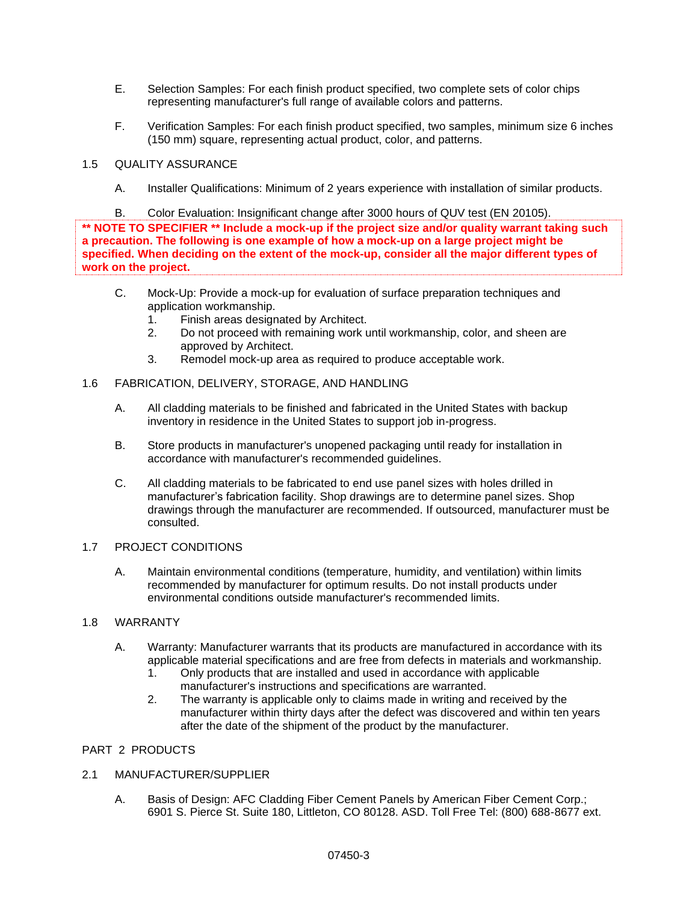- E. Selection Samples: For each finish product specified, two complete sets of color chips representing manufacturer's full range of available colors and patterns.
- F. Verification Samples: For each finish product specified, two samples, minimum size 6 inches (150 mm) square, representing actual product, color, and patterns.

# 1.5 QUALITY ASSURANCE

A. Installer Qualifications: Minimum of 2 years experience with installation of similar products.

B. Color Evaluation: Insignificant change after 3000 hours of QUV test (EN 20105). **\*\* NOTE TO SPECIFIER \*\* Include a mock-up if the project size and/or quality warrant taking such a precaution. The following is one example of how a mock-up on a large project might be specified. When deciding on the extent of the mock-up, consider all the major different types of work on the project.**

- C. Mock-Up: Provide a mock-up for evaluation of surface preparation techniques and application workmanship.
	- 1. Finish areas designated by Architect.
	- 2. Do not proceed with remaining work until workmanship, color, and sheen are approved by Architect.
	- 3. Remodel mock-up area as required to produce acceptable work.

## 1.6 FABRICATION, DELIVERY, STORAGE, AND HANDLING

- A. All cladding materials to be finished and fabricated in the United States with backup inventory in residence in the United States to support job in-progress.
- B. Store products in manufacturer's unopened packaging until ready for installation in accordance with manufacturer's recommended guidelines.
- C. All cladding materials to be fabricated to end use panel sizes with holes drilled in manufacturer's fabrication facility. Shop drawings are to determine panel sizes. Shop drawings through the manufacturer are recommended. If outsourced, manufacturer must be consulted.

## 1.7 PROJECT CONDITIONS

A. Maintain environmental conditions (temperature, humidity, and ventilation) within limits recommended by manufacturer for optimum results. Do not install products under environmental conditions outside manufacturer's recommended limits.

# 1.8 WARRANTY

- A. Warranty: Manufacturer warrants that its products are manufactured in accordance with its applicable material specifications and are free from defects in materials and workmanship.
	- 1. Only products that are installed and used in accordance with applicable manufacturer's instructions and specifications are warranted.
	- 2. The warranty is applicable only to claims made in writing and received by the manufacturer within thirty days after the defect was discovered and within ten years after the date of the shipment of the product by the manufacturer.

### PART 2 PRODUCTS

# 2.1 MANUFACTURER/SUPPLIER

A. Basis of Design: AFC Cladding Fiber Cement Panels by American Fiber Cement Corp.; 6901 S. Pierce St. Suite 180, Littleton, CO 80128. ASD. Toll Free Tel: (800) 688-8677 ext.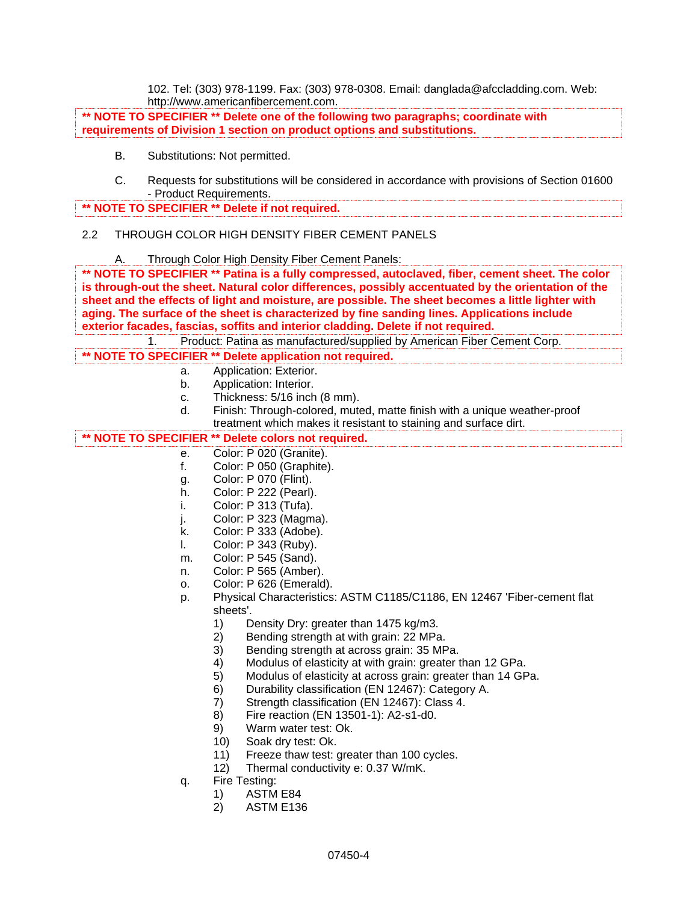102. Tel: (303) 978-1199. Fax: (303) 978-0308. Email: danglada@afccladding.com. Web: http://www.americanfibercement.com.

**\*\* NOTE TO SPECIFIER \*\* Delete one of the following two paragraphs; coordinate with requirements of Division 1 section on product options and substitutions.**

- B. Substitutions: Not permitted.
- C. Requests for substitutions will be considered in accordance with provisions of Section 01600 - Product Requirements.

**\*\* NOTE TO SPECIFIER \*\* Delete if not required.**

# 2.2 THROUGH COLOR HIGH DENSITY FIBER CEMENT PANELS

A. Through Color High Density Fiber Cement Panels:

**\*\* NOTE TO SPECIFIER \*\* Patina is a fully compressed, autoclaved, fiber, cement sheet. The color is through-out the sheet. Natural color differences, possibly accentuated by the orientation of the sheet and the effects of light and moisture, are possible. The sheet becomes a little lighter with aging. The surface of the sheet is characterized by fine sanding lines. Applications include exterior facades, fascias, soffits and interior cladding. Delete if not required.**

1. Product: Patina as manufactured/supplied by American Fiber Cement Corp.

- **\*\* NOTE TO SPECIFIER \*\* Delete application not required.**
	- a. Application: Exterior.
	- b. Application: Interior.
	- c. Thickness: 5/16 inch (8 mm).
	- d. Finish: Through-colored, muted, matte finish with a unique weather-proof treatment which makes it resistant to staining and surface dirt.

## **\*\* NOTE TO SPECIFIER \*\* Delete colors not required.**

- e. Color: P 020 (Granite).
- f. Color: P 050 (Graphite).
- g. Color: P 070 (Flint).
- h. Color: P 222 (Pearl).
- i. Color: P 313 (Tufa).
- j. Color: P 323 (Magma).
- k. Color: P 333 (Adobe).
- l. Color: P 343 (Ruby).
- m. Color: P 545 (Sand).
- n. Color: P 565 (Amber).
- o. Color: P 626 (Emerald).
- p. Physical Characteristics: ASTM C1185/C1186, EN 12467 'Fiber-cement flat sheets'.
	- 1) Density Dry: greater than 1475 kg/m3.
	- 2) Bending strength at with grain: 22 MPa.
	- 3) Bending strength at across grain: 35 MPa.
	- 4) Modulus of elasticity at with grain: greater than 12 GPa.
	- 5) Modulus of elasticity at across grain: greater than 14 GPa.
	- 6) Durability classification (EN 12467): Category A.
	- 7) Strength classification (EN 12467): Class 4.
	- 8) Fire reaction (EN 13501-1): A2-s1-d0.
	- 9) Warm water test: Ok.
	- 10) Soak dry test: Ok.
	- 11) Freeze thaw test: greater than 100 cycles.
	- 12) Thermal conductivity e: 0.37 W/mK.
- q. Fire Testing:
	- 1) ASTM E84
	- 2) ASTM E136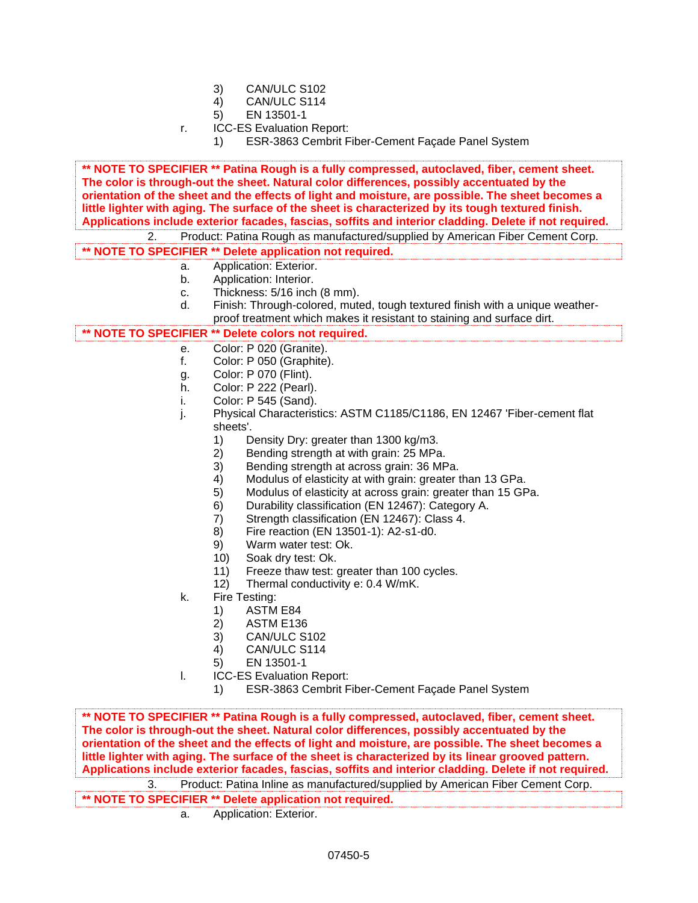- 3) CAN/ULC S102
- 4) CAN/ULC S114
- 5) EN 13501-1
- r. ICC-ES Evaluation Report:
	- 1) ESR-3863 Cembrit Fiber-Cement Façade Panel System

**\*\* NOTE TO SPECIFIER \*\* Patina Rough is a fully compressed, autoclaved, fiber, cement sheet. The color is through-out the sheet. Natural color differences, possibly accentuated by the orientation of the sheet and the effects of light and moisture, are possible. The sheet becomes a little lighter with aging. The surface of the sheet is characterized by its tough textured finish. Applications include exterior facades, fascias, soffits and interior cladding. Delete if not required.**

2. Product: Patina Rough as manufactured/supplied by American Fiber Cement Corp.

**\*\* NOTE TO SPECIFIER \*\* Delete application not required.**

- a. Application: Exterior.
- b. Application: Interior.
- c. Thickness: 5/16 inch (8 mm).
- d. Finish: Through-colored, muted, tough textured finish with a unique weatherproof treatment which makes it resistant to staining and surface dirt.

## **\*\* NOTE TO SPECIFIER \*\* Delete colors not required.**

- e. Color: P 020 (Granite).
- f. Color: P 050 (Graphite).
- g. Color: P 070 (Flint).
- h. Color: P 222 (Pearl).
- i. Color: P 545 (Sand).
- j. Physical Characteristics: ASTM C1185/C1186, EN 12467 'Fiber-cement flat sheets'.
	- 1) Density Dry: greater than 1300 kg/m3.
	- 2) Bending strength at with grain: 25 MPa.
	- 3) Bending strength at across grain: 36 MPa.
	- 4) Modulus of elasticity at with grain: greater than 13 GPa.
	- 5) Modulus of elasticity at across grain: greater than 15 GPa.
	- 6) Durability classification (EN 12467): Category A.
	- 7) Strength classification (EN 12467): Class 4.
	- 8) Fire reaction (EN 13501-1): A2-s1-d0.
	- 9) Warm water test: Ok.
	- 10) Soak dry test: Ok.
	- 11) Freeze thaw test: greater than 100 cycles.
	- 12) Thermal conductivity e: 0.4 W/mK.
- k. Fire Testing:
	- 1) ASTM E84
	- 2) ASTM E136
	- 3) CAN/ULC S102
	- 4) CAN/ULC S114
	- 5) EN 13501-1
- l. ICC-ES Evaluation Report:
	- 1) ESR-3863 Cembrit Fiber-Cement Façade Panel System

**\*\* NOTE TO SPECIFIER \*\* Patina Rough is a fully compressed, autoclaved, fiber, cement sheet. The color is through-out the sheet. Natural color differences, possibly accentuated by the orientation of the sheet and the effects of light and moisture, are possible. The sheet becomes a little lighter with aging. The surface of the sheet is characterized by its linear grooved pattern. Applications include exterior facades, fascias, soffits and interior cladding. Delete if not required.**

3. Product: Patina Inline as manufactured/supplied by American Fiber Cement Corp. **\*\* NOTE TO SPECIFIER \*\* Delete application not required.**

a. Application: Exterior.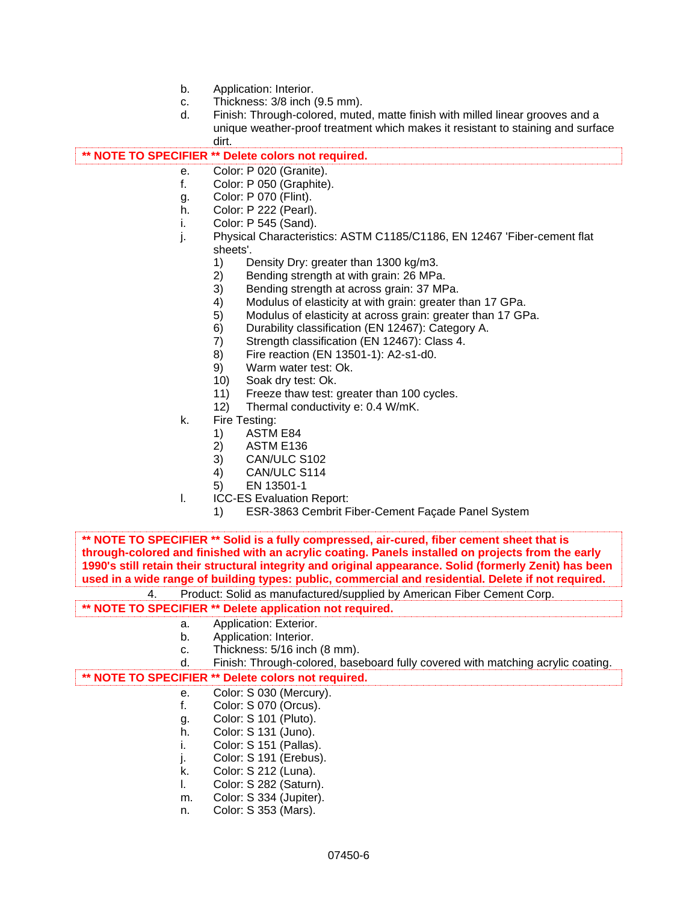- b. Application: Interior.
- c. Thickness: 3/8 inch (9.5 mm).
- d. Finish: Through-colored, muted, matte finish with milled linear grooves and a unique weather-proof treatment which makes it resistant to staining and surface dirt.

## **\*\* NOTE TO SPECIFIER \*\* Delete colors not required.**

- e. Color: P 020 (Granite).
- f. Color: P 050 (Graphite).
- g. Color: P 070 (Flint).
- h. Color: P 222 (Pearl).
- i. Color: P 545 (Sand).
- j. Physical Characteristics: ASTM C1185/C1186, EN 12467 'Fiber-cement flat sheets'.
	- 1) Density Dry: greater than 1300 kg/m3.<br>2) Bending strength at with grain: 26 MPa
	- 2) Bending strength at with grain: 26 MPa.<br>3) Bending strength at across grain: 37 MF
	- Bending strength at across grain: 37 MPa.
	- 4) Modulus of elasticity at with grain: greater than 17 GPa.
	- 5) Modulus of elasticity at across grain: greater than 17 GPa.
	- 6) Durability classification (EN 12467): Category A.
	- 7) Strength classification (EN 12467): Class 4.
	- 8) Fire reaction (EN 13501-1): A2-s1-d0.
	- 9) Warm water test: Ok.
	- 10) Soak dry test: Ok.
	- 11) Freeze thaw test: greater than 100 cycles.
	- 12) Thermal conductivity e: 0.4 W/mK.
- k. Fire Testing:
	- 1) ASTM E84
	- 2) ASTM E136
	- 3) CAN/ULC S102
	- 4) CAN/ULC S114
	- 5) EN 13501-1
- l. ICC-ES Evaluation Report:
	- 1) ESR-3863 Cembrit Fiber-Cement Façade Panel System

**\*\* NOTE TO SPECIFIER \*\* Solid is a fully compressed, air-cured, fiber cement sheet that is through-colored and finished with an acrylic coating. Panels installed on projects from the early 1990's still retain their structural integrity and original appearance. Solid (formerly Zenit) has been used in a wide range of building types: public, commercial and residential. Delete if not required.**

4. Product: Solid as manufactured/supplied by American Fiber Cement Corp.

### **\*\* NOTE TO SPECIFIER \*\* Delete application not required.**

- a. Application: Exterior.
- b. Application: Interior.
- c. Thickness: 5/16 inch (8 mm).

| Finish: Through-colored, baseboard fully covered with matching acrylic coating. |
|---------------------------------------------------------------------------------|
|                                                                                 |
|                                                                                 |
|                                                                                 |

**\*\* NOTE TO SPECIFIER \*\* Delete colors not required.**

- e. Color: S 030 (Mercury).
- f. Color: S 070 (Orcus).
- g. Color: S 101 (Pluto).
- h. Color: S 131 (Juno).
- i. Color: S 151 (Pallas).
- j. Color: S 191 (Erebus).
- k. Color: S 212 (Luna).
- l. Color: S 282 (Saturn).
- m. Color: S 334 (Jupiter).
- n. Color: S 353 (Mars).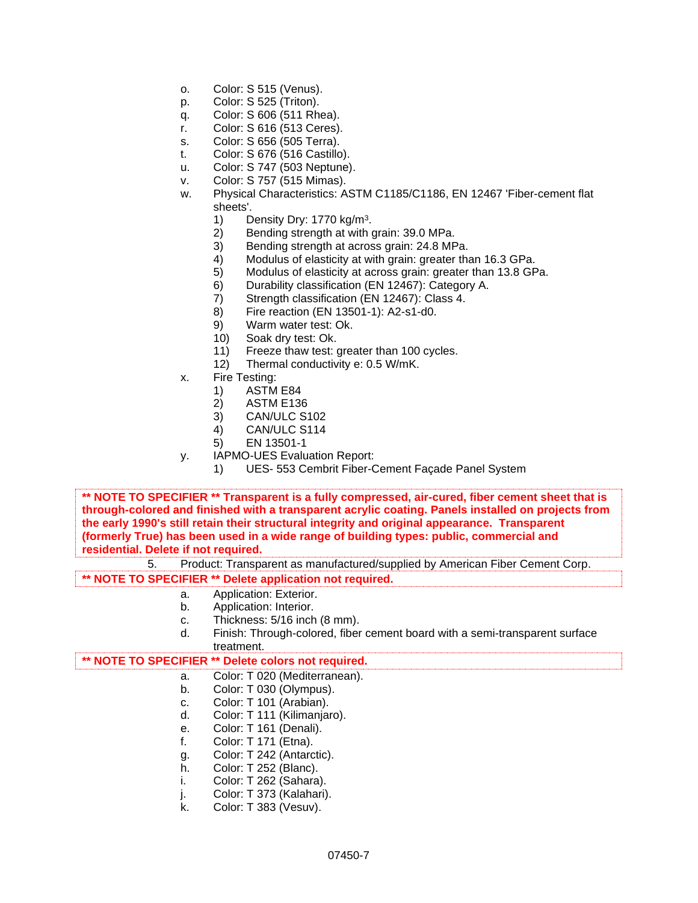- o. Color: S 515 (Venus).
- p. Color: S 525 (Triton).
- q. Color: S 606 (511 Rhea).
- r. Color: S 616 (513 Ceres).
- s. Color: S 656 (505 Terra).
- t. Color: S 676 (516 Castillo).
- u. Color: S 747 (503 Neptune).
- v. Color: S 757 (515 Mimas).
- w. Physical Characteristics: ASTM C1185/C1186, EN 12467 'Fiber-cement flat sheets'.
	- 1) Density Dry: 1770 kg/m<sup>3</sup>.
	- 2) Bending strength at with grain: 39.0 MPa.
	- 3) Bending strength at across grain: 24.8 MPa.
	- 4) Modulus of elasticity at with grain: greater than 16.3 GPa.
	- 5) Modulus of elasticity at across grain: greater than 13.8 GPa.
	- 6) Durability classification (EN 12467): Category A.
	- 7) Strength classification (EN 12467): Class 4.
	- 8) Fire reaction (EN 13501-1): A2-s1-d0.
	- 9) Warm water test: Ok.
	- 10) Soak dry test: Ok.
	- 11) Freeze thaw test: greater than 100 cycles.
	- 12) Thermal conductivity e: 0.5 W/mK.
- x. Fire Testing:
	- 1) ASTM E84
	- 2) ASTM E136
	- 3) CAN/ULC S102
	- 4) CAN/ULC S114
	- 5) EN 13501-1
- y. IAPMO-UES Evaluation Report:
	- 1) UES- 553 Cembrit Fiber-Cement Façade Panel System

**\*\* NOTE TO SPECIFIER \*\* Transparent is a fully compressed, air-cured, fiber cement sheet that is through-colored and finished with a transparent acrylic coating. Panels installed on projects from the early 1990's still retain their structural integrity and original appearance. Transparent (formerly True) has been used in a wide range of building types: public, commercial and residential. Delete if not required.**

5. Product: Transparent as manufactured/supplied by American Fiber Cement Corp. **\*\* NOTE TO SPECIFIER \*\* Delete application not required.**

- a. Application: Exterior.
- b. Application: Interior.
- c. Thickness: 5/16 inch (8 mm).
- d. Finish: Through-colored, fiber cement board with a semi-transparent surface treatment.

### **\*\* NOTE TO SPECIFIER \*\* Delete colors not required.**

- a. Color: T 020 (Mediterranean).
- b. Color: T 030 (Olympus).
- c. Color: T 101 (Arabian).
- d. Color: T 111 (Kilimanjaro).
- e. Color: T 161 (Denali).
- f. Color: T 171 (Etna).
- g. Color: T 242 (Antarctic).
- h. Color: T 252 (Blanc).
- i. Color: T 262 (Sahara).
- j. Color: T 373 (Kalahari).
- k. Color: T 383 (Vesuv).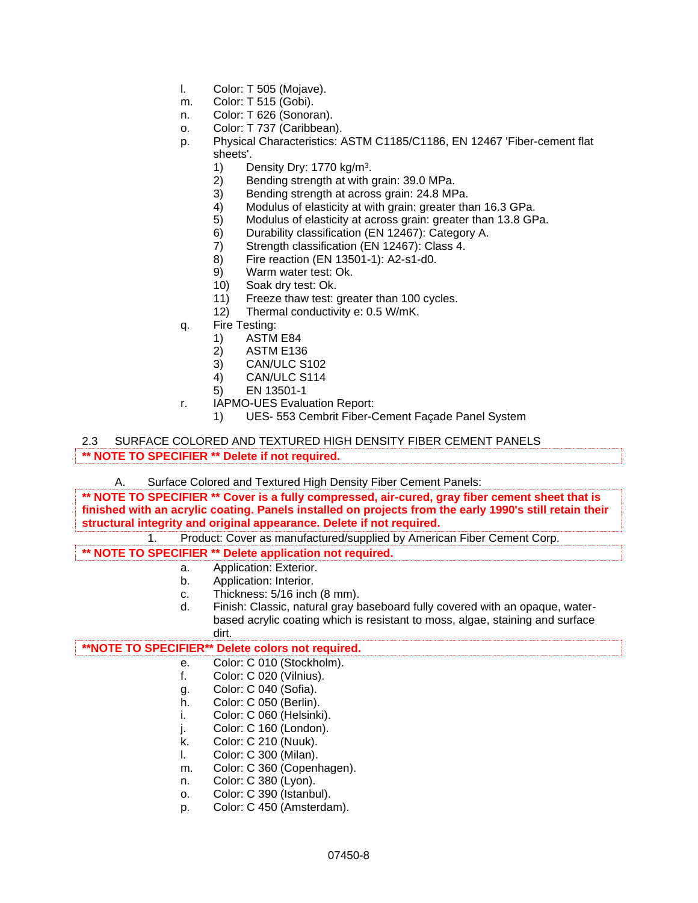- l. Color: T 505 (Mojave).
- m. Color: T 515 (Gobi).
- n. Color: T 626 (Sonoran).
- o. Color: T 737 (Caribbean).
- p. Physical Characteristics: ASTM C1185/C1186, EN 12467 'Fiber-cement flat sheets'.
	- 1) Density Dry: 1770 kg/m<sup>3</sup>.
	- 2) Bending strength at with grain: 39.0 MPa.
	- 3) Bending strength at across grain: 24.8 MPa.<br>4) Modulus of elasticity at with grain: greater tha
	- Modulus of elasticity at with grain: greater than 16.3 GPa.
	- 5) Modulus of elasticity at across grain: greater than 13.8 GPa.
	- 6) Durability classification (EN 12467): Category A.
	- 7) Strength classification (EN 12467): Class 4.
	- 8) Fire reaction (EN 13501-1): A2-s1-d0.
	- 9) Warm water test: Ok.
	- 10) Soak dry test: Ok.
	- 11) Freeze thaw test: greater than 100 cycles.
	- 12) Thermal conductivity e: 0.5 W/mK.
- q. Fire Testing:
	- 1) ASTM E84
	- 2) ASTM E136
	- 3) CAN/ULC S102
	- 4) CAN/ULC S114
	- 5) EN 13501-1
- r. IAPMO-UES Evaluation Report:
	- 1) UES- 553 Cembrit Fiber-Cement Façade Panel System

2.3 SURFACE COLORED AND TEXTURED HIGH DENSITY FIBER CEMENT PANELS **\*\* NOTE TO SPECIFIER \*\* Delete if not required.**

A. Surface Colored and Textured High Density Fiber Cement Panels:

**\*\* NOTE TO SPECIFIER \*\* Cover is a fully compressed, air-cured, gray fiber cement sheet that is finished with an acrylic coating. Panels installed on projects from the early 1990's still retain their structural integrity and original appearance. Delete if not required.**

1. Product: Cover as manufactured/supplied by American Fiber Cement Corp.

**\*\* NOTE TO SPECIFIER \*\* Delete application not required.**

- a. Application: Exterior.
- b. Application: Interior.
- c. Thickness: 5/16 inch (8 mm).
- d. Finish: Classic, natural gray baseboard fully covered with an opaque, waterbased acrylic coating which is resistant to moss, algae, staining and surface dirt.

# **\*\*NOTE TO SPECIFIER\*\* Delete colors not required.**

- e. Color: C 010 (Stockholm).
- f. Color: C 020 (Vilnius).
- g. Color: C 040 (Sofia).
- h. Color: C 050 (Berlin).
- i. Color: C 060 (Helsinki).
- j. Color: C 160 (London).
- k. Color: C 210 (Nuuk).
- l. Color: C 300 (Milan).
- m. Color: C 360 (Copenhagen).
- n. Color: C 380 (Lyon).
- o. Color: C 390 (Istanbul).
- p. Color: C 450 (Amsterdam).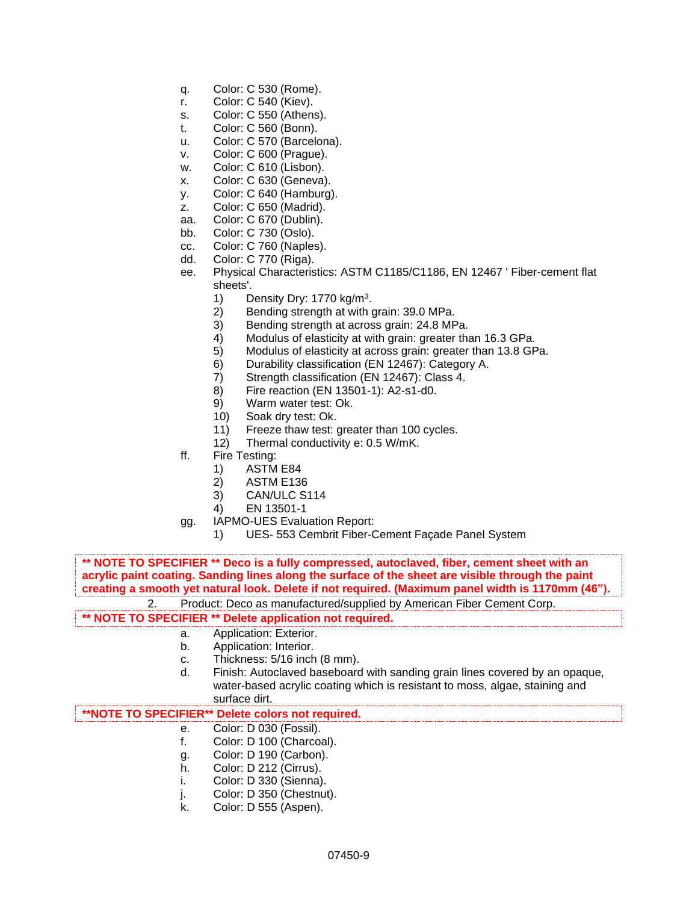- q. Color: C 530 (Rome).
- r. Color: C 540 (Kiev).
- s. Color: C 550 (Athens).
- t. Color: C 560 (Bonn).
- u. Color: C 570 (Barcelona).
- v. Color: C 600 (Prague).
- w. Color: C 610 (Lisbon).
- x. Color: C 630 (Geneva).
- y. Color: C 640 (Hamburg).
- z. Color: C 650 (Madrid).
- aa. Color: C 670 (Dublin).
- bb. Color: C 730 (Oslo).
- cc. Color: C 760 (Naples).
- dd. Color: C 770 (Riga).
- ee. Physical Characteristics: ASTM C1185/C1186, EN 12467 ' Fiber-cement flat sheets'.
	- 1) Density Dry: 1770 kg/m<sup>3</sup>.
	- 2) Bending strength at with grain: 39.0 MPa.
	- 3) Bending strength at across grain: 24.8 MPa.
	- 4) Modulus of elasticity at with grain: greater than 16.3 GPa.
	- 5) Modulus of elasticity at across grain: greater than 13.8 GPa.
	- 6) Durability classification (EN 12467): Category A.
	- 7) Strength classification (EN 12467): Class 4.
	- 8) Fire reaction (EN 13501-1): A2-s1-d0.
	- 9) Warm water test: Ok.
	- 10) Soak dry test: Ok.
	- 11) Freeze thaw test: greater than 100 cycles.
	- 12) Thermal conductivity e: 0.5 W/mK.
- ff. Fire Testing:
	- 1) ASTM E84
	- 2) ASTM E136
	- 3) CAN/ULC S114
	- 4) EN 13501-1
- gg. IAPMO-UES Evaluation Report:
	- 1) UES- 553 Cembrit Fiber-Cement Façade Panel System

**\*\* NOTE TO SPECIFIER \*\* Deco is a fully compressed, autoclaved, fiber, cement sheet with an acrylic paint coating. Sanding lines along the surface of the sheet are visible through the paint creating a smooth yet natural look. Delete if not required. (Maximum panel width is 1170mm (46").**

2. Product: Deco as manufactured/supplied by American Fiber Cement Corp.

# **\*\* NOTE TO SPECIFIER \*\* Delete application not required.**

- a. Application: Exterior.
- b. Application: Interior.
- c. Thickness: 5/16 inch (8 mm).
- d. Finish: Autoclaved baseboard with sanding grain lines covered by an opaque, water-based acrylic coating which is resistant to moss, algae, staining and surface dirt.

# **\*\*NOTE TO SPECIFIER\*\* Delete colors not required.**

- e. Color: D 030 (Fossil).
- f. Color: D 100 (Charcoal).
- g. Color: D 190 (Carbon).
- h. Color: D 212 (Cirrus).
- i. Color: D 330 (Sienna).
- j. Color: D 350 (Chestnut).
- k. Color: D 555 (Aspen).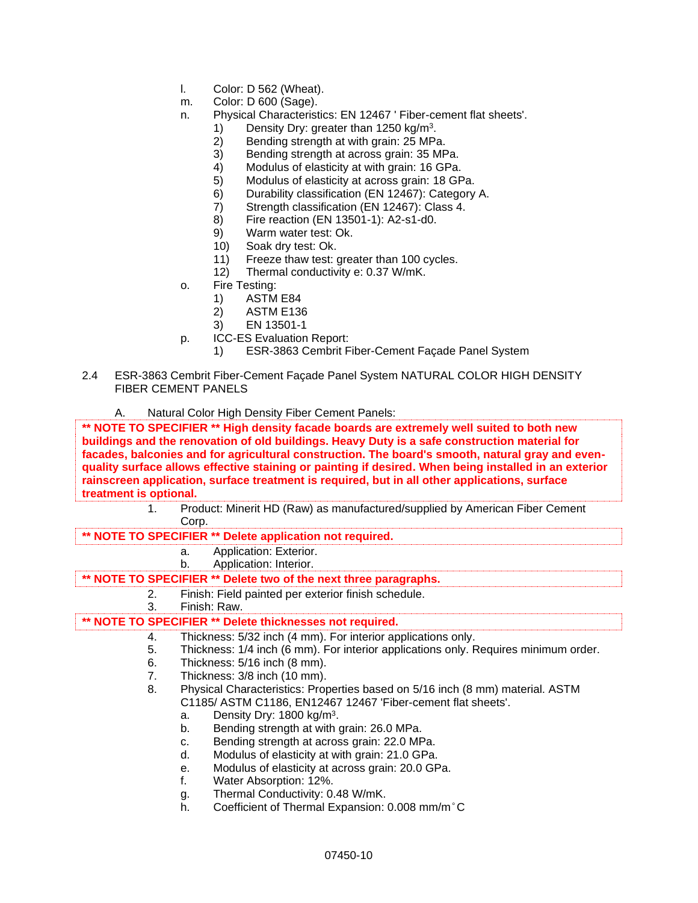- l. Color: D 562 (Wheat).
- m. Color: D 600 (Sage).
- n. Physical Characteristics: EN 12467 ' Fiber-cement flat sheets'.
	- 1) Density Dry: greater than 1250 kg/m<sup>3</sup>.
	- 2) Bending strength at with grain: 25 MPa.
	- 3) Bending strength at across grain: 35 MPa.
	- 4) Modulus of elasticity at with grain: 16 GPa.
	- 5) Modulus of elasticity at across grain: 18 GPa.
	- 6) Durability classification (EN 12467): Category A.
	- 7) Strength classification (EN 12467): Class 4.
	- 8) Fire reaction (EN 13501-1): A2-s1-d0.
	- 9) Warm water test: Ok.
	- 10) Soak dry test: Ok.
	- 11) Freeze thaw test: greater than 100 cycles.
	- 12) Thermal conductivity e: 0.37 W/mK.
- o. Fire Testing:
	- 1) ASTM E84
	- 2) ASTM E136
	- 3) EN 13501-1
- p. ICC-ES Evaluation Report:
	- 1) ESR-3863 Cembrit Fiber-Cement Façade Panel System
- 2.4 ESR-3863 Cembrit Fiber-Cement Façade Panel System NATURAL COLOR HIGH DENSITY FIBER CEMENT PANELS
	- A. Natural Color High Density Fiber Cement Panels:

**\*\* NOTE TO SPECIFIER \*\* High density facade boards are extremely well suited to both new buildings and the renovation of old buildings. Heavy Duty is a safe construction material for facades, balconies and for agricultural construction. The board's smooth, natural gray and evenquality surface allows effective staining or painting if desired. When being installed in an exterior rainscreen application, surface treatment is required, but in all other applications, surface treatment is optional.** 

1. Product: Minerit HD (Raw) as manufactured/supplied by American Fiber Cement Corp.

### **\*\* NOTE TO SPECIFIER \*\* Delete application not required.**

- a. Application: Exterior.
- b. Application: Interior.

**\*\* NOTE TO SPECIFIER \*\* Delete two of the next three paragraphs.**

# 2. Finish: Field painted per exterior finish schedule.

3. Finish: Raw.

# **\*\* NOTE TO SPECIFIER \*\* Delete thicknesses not required.**

- 4. Thickness: 5/32 inch (4 mm). For interior applications only.
- 5. Thickness: 1/4 inch (6 mm). For interior applications only. Requires minimum order.
- 6. Thickness: 5/16 inch (8 mm).
- 7. Thickness: 3/8 inch (10 mm).
- 8. Physical Characteristics: Properties based on 5/16 inch (8 mm) material. ASTM C1185/ ASTM C1186, EN12467 12467 'Fiber-cement flat sheets'.
	- a. Density Dry:  $1800 \text{ kg/m}^3$ .
	- b. Bending strength at with grain: 26.0 MPa.
	- c. Bending strength at across grain: 22.0 MPa.
	- d. Modulus of elasticity at with grain: 21.0 GPa.
	- e. Modulus of elasticity at across grain: 20.0 GPa.
	- f. Water Absorption: 12%.
	- g. Thermal Conductivity: 0.48 W/mK.
	- h. Coefficient of Thermal Expansion: 0.008 mm/m°C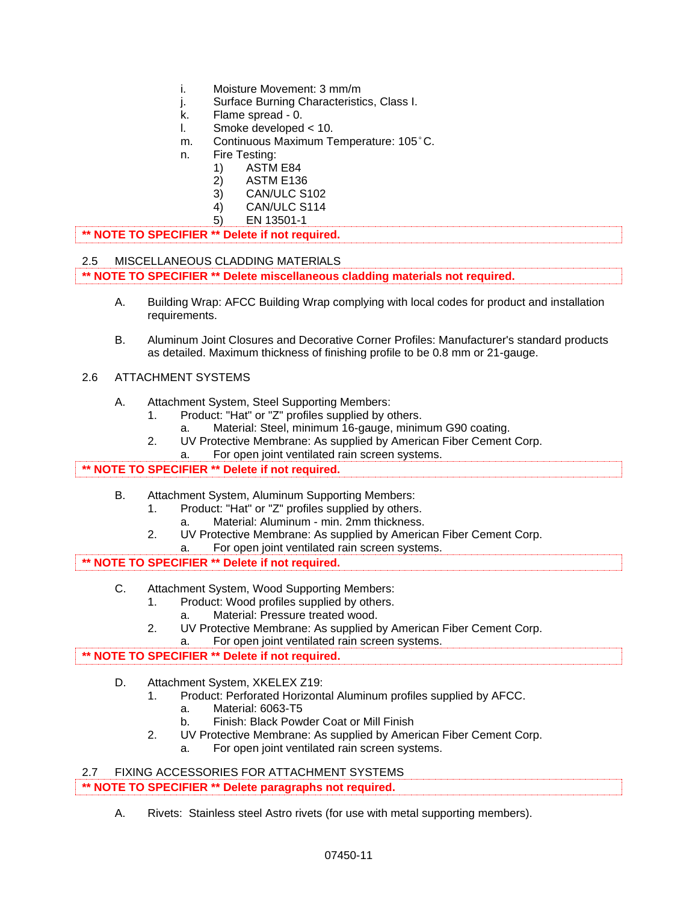- i. Moisture Movement: 3 mm/m
- j. Surface Burning Characteristics, Class I.
- k. Flame spread 0.
- l. Smoke developed < 10.
- m. Continuous Maximum Temperature: 105°C.
- n. Fire Testing:
	- 1) ASTM E84
	- 2) ASTM E136
	- 3) CAN/ULC S102
	- 4) CAN/ULC S114
	- 5) EN 13501-1

```
** NOTE TO SPECIFIER ** Delete if not required.
```
### 2.5 MISCELLANEOUS CLADDING MATERlALS **\*\* NOTE TO SPECIFIER \*\* Delete miscellaneous cladding materials not required.**

- A. Building Wrap: AFCC Building Wrap complying with local codes for product and installation requirements.
- B. Aluminum Joint Closures and Decorative Corner Profiles: Manufacturer's standard products as detailed. Maximum thickness of finishing profile to be 0.8 mm or 21-gauge.

## 2.6 ATTACHMENT SYSTEMS

- A. Attachment System, Steel Supporting Members:
	- 1. Product: "Hat" or "Z" profiles supplied by others.
		- a. Material: Steel, minimum 16-gauge, minimum G90 coating.
	- 2. UV Protective Membrane: As supplied by American Fiber Cement Corp.
		- a. For open joint ventilated rain screen systems.

# **\*\* NOTE TO SPECIFIER \*\* Delete if not required.**

- B. Attachment System, Aluminum Supporting Members:
	- 1. Product: "Hat" or "Z" profiles supplied by others.
		- a. Material: Aluminum min. 2mm thickness.
	- 2. UV Protective Membrane: As supplied by American Fiber Cement Corp. a. For open joint ventilated rain screen systems.

# **\*\* NOTE TO SPECIFIER \*\* Delete if not required.**

- C. Attachment System, Wood Supporting Members:
	- 1. Product: Wood profiles supplied by others.
		- a. Material: Pressure treated wood.
	- 2. UV Protective Membrane: As supplied by American Fiber Cement Corp.
		- a. For open joint ventilated rain screen systems.

# **\*\* NOTE TO SPECIFIER \*\* Delete if not required.**

- D. Attachment System, XKELEX Z19:
	- 1. Product: Perforated Horizontal Aluminum profiles supplied by AFCC.
		- a. Material: 6063-T5
		- b. Finish: Black Powder Coat or Mill Finish
	- 2. UV Protective Membrane: As supplied by American Fiber Cement Corp. a. For open joint ventilated rain screen systems.

| - 2.7 | FIXING ACCESSORIES FOR ATTACHMENT SYSTEMS                      |  |
|-------|----------------------------------------------------------------|--|
|       | <b>** NOTE TO SPECIFIER ** Delete paragraphs not required.</b> |  |

A. Rivets: Stainless steel Astro rivets (for use with metal supporting members).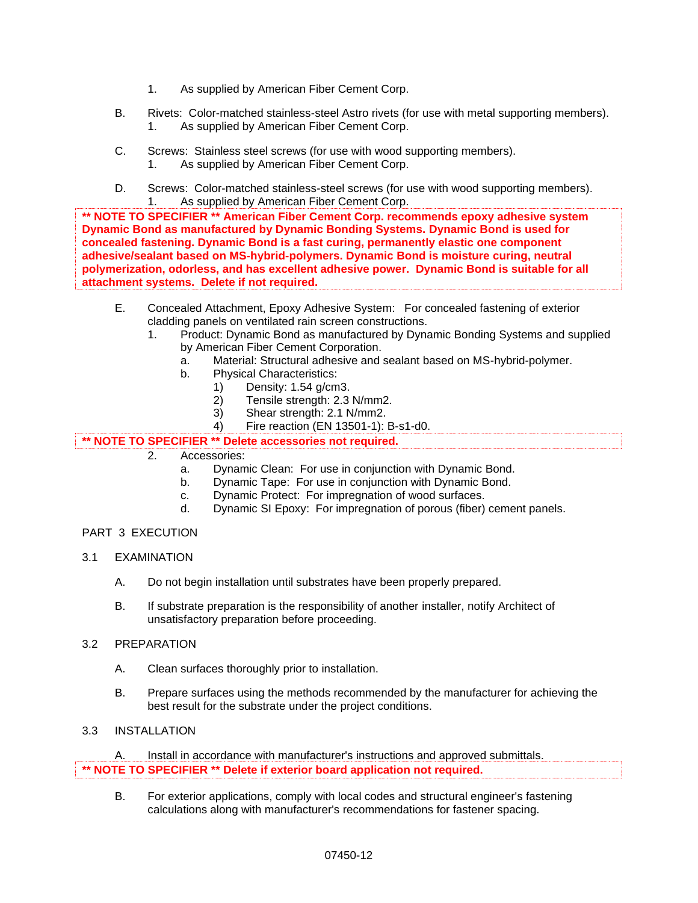- 1. As supplied by American Fiber Cement Corp.
- B. Rivets: Color-matched stainless-steel Astro rivets (for use with metal supporting members). 1. As supplied by American Fiber Cement Corp.
- C. Screws: Stainless steel screws (for use with wood supporting members). 1. As supplied by American Fiber Cement Corp.
- D. Screws: Color-matched stainless-steel screws (for use with wood supporting members). 1. As supplied by American Fiber Cement Corp.

**\*\* NOTE TO SPECIFIER \*\* American Fiber Cement Corp. recommends epoxy adhesive system Dynamic Bond as manufactured by Dynamic Bonding Systems. Dynamic Bond is used for concealed fastening. Dynamic Bond is a fast curing, permanently elastic one component adhesive/sealant based on MS-hybrid-polymers. Dynamic Bond is moisture curing, neutral polymerization, odorless, and has excellent adhesive power. Dynamic Bond is suitable for all attachment systems. Delete if not required.**

- E. Concealed Attachment, Epoxy Adhesive System: For concealed fastening of exterior cladding panels on ventilated rain screen constructions.
	- 1. Product: Dynamic Bond as manufactured by Dynamic Bonding Systems and supplied by American Fiber Cement Corporation.
		- a. Material: Structural adhesive and sealant based on MS-hybrid-polymer.
		- b. Physical Characteristics:
			- 1) Density: 1.54 g/cm3.
			- 2) Tensile strength: 2.3 N/mm2.
			- 3) Shear strength: 2.1 N/mm2.
			- 4) Fire reaction (EN 13501-1): B-s1-d0.

**\*\* NOTE TO SPECIFIER \*\* Delete accessories not required.**

- 2. Accessories:
	- a. Dynamic Clean: For use in conjunction with Dynamic Bond.
	- b. Dynamic Tape: For use in conjunction with Dynamic Bond.
	- c. Dynamic Protect: For impregnation of wood surfaces.
	- d. Dynamic SI Epoxy: For impregnation of porous (fiber) cement panels.

### PART 3 EXECUTION

- 3.1 EXAMINATION
	- A. Do not begin installation until substrates have been properly prepared.
	- B. If substrate preparation is the responsibility of another installer, notify Architect of unsatisfactory preparation before proceeding.

# 3.2 PREPARATION

- A. Clean surfaces thoroughly prior to installation.
- B. Prepare surfaces using the methods recommended by the manufacturer for achieving the best result for the substrate under the project conditions.

# 3.3 INSTALLATION

A. Install in accordance with manufacturer's instructions and approved submittals. **\*\* NOTE TO SPECIFIER \*\* Delete if exterior board application not required.**

B. For exterior applications, comply with local codes and structural engineer's fastening calculations along with manufacturer's recommendations for fastener spacing.